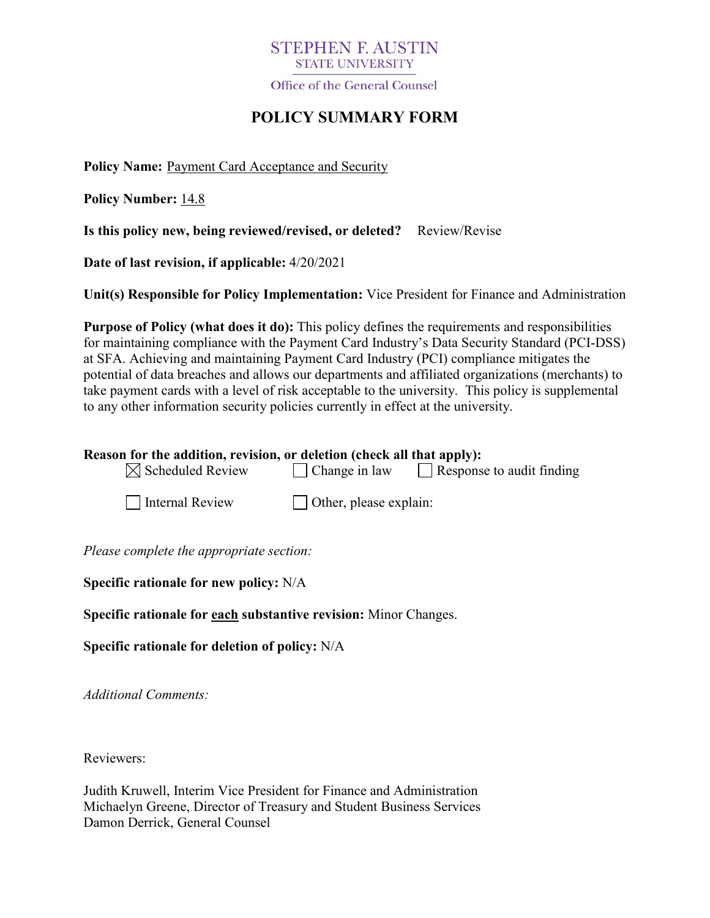## **STEPHEN F. AUSTIN STATE UNIVERSITY**

Office of the General Counsel

# **POLICY SUMMARY FORM**

**Policy Name:** Payment Card Acceptance and Security

**Policy Number:** 14.8

**Is this policy new, being reviewed/revised, or deleted?** Review/Revise

**Date of last revision, if applicable:** 4/20/2021

**Unit(s) Responsible for Policy Implementation:** Vice President for Finance and Administration

**Purpose of Policy (what does it do):** This policy defines the requirements and responsibilities for maintaining compliance with the Payment Card Industry's Data Security Standard (PCI-DSS) at SFA. Achieving and maintaining Payment Card Industry (PCI) compliance mitigates the potential of data breaches and allows our departments and affiliated organizations (merchants) to take payment cards with a level of risk acceptable to the university. This policy is supplemental to any other information security policies currently in effect at the university.

| Reason for the addition, revision, or deletion (check all that apply): |                                |                                  |
|------------------------------------------------------------------------|--------------------------------|----------------------------------|
| $\boxtimes$ Scheduled Review                                           | $\Box$ Change in law           | $\Box$ Response to audit finding |
| Internal Review                                                        | $\vert$ Other, please explain: |                                  |

*Please complete the appropriate section:*

**Specific rationale for new policy:** N/A

**Specific rationale for each substantive revision:** Minor Changes.

**Specific rationale for deletion of policy:** N/A

*Additional Comments:*

Reviewers:

Judith Kruwell, Interim Vice President for Finance and Administration Michaelyn Greene, Director of Treasury and Student Business Services Damon Derrick, General Counsel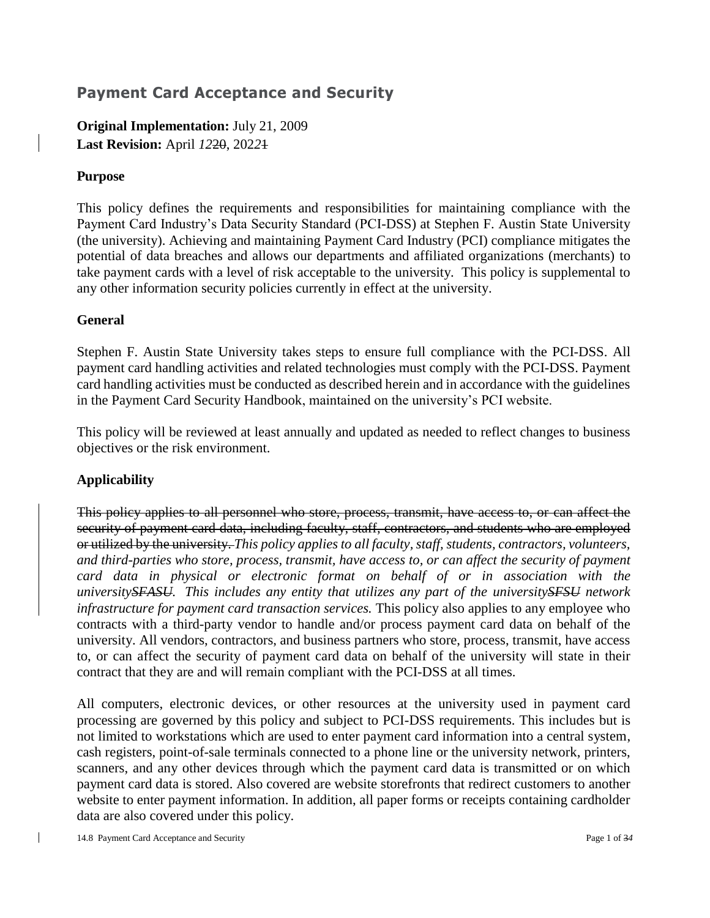## **Payment Card Acceptance and Security**

**Original Implementation:** July 21, 2009 **Last Revision:** April *12*20, 202*2*1

#### **Purpose**

This policy defines the requirements and responsibilities for maintaining compliance with the Payment Card Industry's Data Security Standard (PCI-DSS) at Stephen F. Austin State University (the university). Achieving and maintaining Payment Card Industry (PCI) compliance mitigates the potential of data breaches and allows our departments and affiliated organizations (merchants) to take payment cards with a level of risk acceptable to the university. This policy is supplemental to any other information security policies currently in effect at the university.

#### **General**

Stephen F. Austin State University takes steps to ensure full compliance with the PCI-DSS. All payment card handling activities and related technologies must comply with the PCI-DSS. Payment card handling activities must be conducted as described herein and in accordance with the guidelines in the Payment Card Security Handbook, maintained on the university's PCI website.

This policy will be reviewed at least annually and updated as needed to reflect changes to business objectives or the risk environment.

### **Applicability**

This policy applies to all personnel who store, process, transmit, have access to, or can affect the security of payment card data, including faculty, staff, contractors, and students who are employed or utilized by the university. *This policy applies to all faculty, staff, students, contractors, volunteers, and third-parties who store, process, transmit, have access to, or can affect the security of payment card data in physical or electronic format on behalf of or in association with the universitySFASU. This includes any entity that utilizes any part of the universitySFSU network infrastructure for payment card transaction services.* This policy also applies to any employee who contracts with a third-party vendor to handle and/or process payment card data on behalf of the university. All vendors, contractors, and business partners who store, process, transmit, have access to, or can affect the security of payment card data on behalf of the university will state in their contract that they are and will remain compliant with the PCI-DSS at all times.

All computers, electronic devices, or other resources at the university used in payment card processing are governed by this policy and subject to PCI-DSS requirements. This includes but is not limited to workstations which are used to enter payment card information into a central system, cash registers, point-of-sale terminals connected to a phone line or the university network, printers, scanners, and any other devices through which the payment card data is transmitted or on which payment card data is stored. Also covered are website storefronts that redirect customers to another website to enter payment information. In addition, all paper forms or receipts containing cardholder data are also covered under this policy.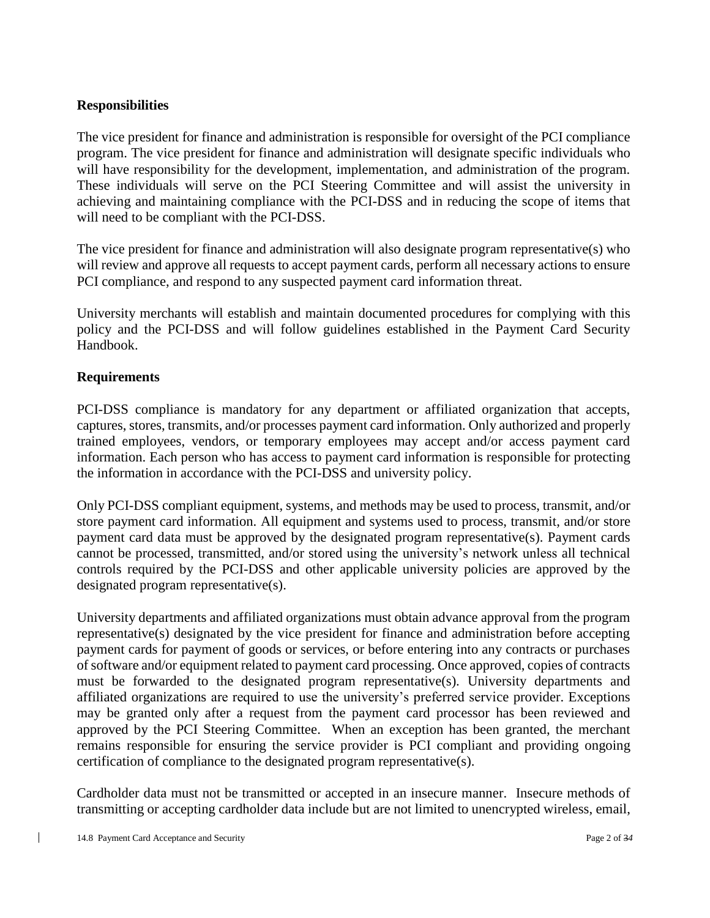### **Responsibilities**

The vice president for finance and administration is responsible for oversight of the PCI compliance program. The vice president for finance and administration will designate specific individuals who will have responsibility for the development, implementation, and administration of the program. These individuals will serve on the PCI Steering Committee and will assist the university in achieving and maintaining compliance with the PCI-DSS and in reducing the scope of items that will need to be compliant with the PCI-DSS.

The vice president for finance and administration will also designate program representative(s) who will review and approve all requests to accept payment cards, perform all necessary actions to ensure PCI compliance, and respond to any suspected payment card information threat.

University merchants will establish and maintain documented procedures for complying with this policy and the PCI-DSS and will follow guidelines established in the Payment Card Security Handbook.

## **Requirements**

PCI-DSS compliance is mandatory for any department or affiliated organization that accepts, captures, stores, transmits, and/or processes payment card information. Only authorized and properly trained employees, vendors, or temporary employees may accept and/or access payment card information. Each person who has access to payment card information is responsible for protecting the information in accordance with the PCI-DSS and university policy.

Only PCI-DSS compliant equipment, systems, and methods may be used to process, transmit, and/or store payment card information. All equipment and systems used to process, transmit, and/or store payment card data must be approved by the designated program representative(s). Payment cards cannot be processed, transmitted, and/or stored using the university's network unless all technical controls required by the PCI-DSS and other applicable university policies are approved by the designated program representative(s).

University departments and affiliated organizations must obtain advance approval from the program representative(s) designated by the vice president for finance and administration before accepting payment cards for payment of goods or services, or before entering into any contracts or purchases of software and/or equipment related to payment card processing. Once approved, copies of contracts must be forwarded to the designated program representative(s). University departments and affiliated organizations are required to use the university's preferred service provider. Exceptions may be granted only after a request from the payment card processor has been reviewed and approved by the PCI Steering Committee. When an exception has been granted, the merchant remains responsible for ensuring the service provider is PCI compliant and providing ongoing certification of compliance to the designated program representative(s).

Cardholder data must not be transmitted or accepted in an insecure manner. Insecure methods of transmitting or accepting cardholder data include but are not limited to unencrypted wireless, email,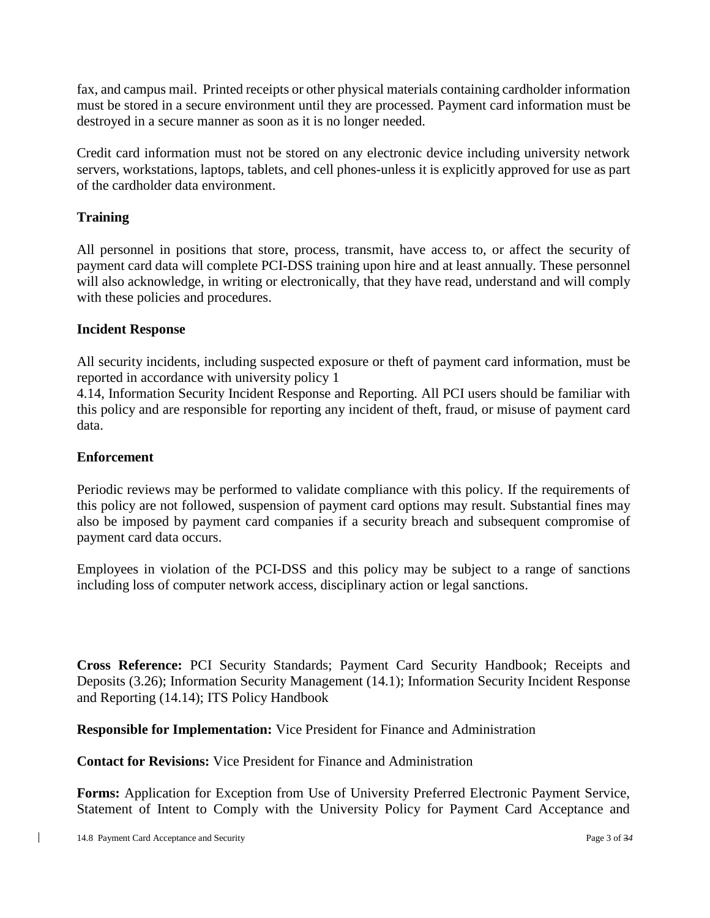fax, and campus mail. Printed receipts or other physical materials containing cardholder information must be stored in a secure environment until they are processed. Payment card information must be destroyed in a secure manner as soon as it is no longer needed.

Credit card information must not be stored on any electronic device including university network servers, workstations, laptops, tablets, and cell phones-unless it is explicitly approved for use as part of the cardholder data environment.

## **Training**

All personnel in positions that store, process, transmit, have access to, or affect the security of payment card data will complete PCI-DSS training upon hire and at least annually. These personnel will also acknowledge, in writing or electronically, that they have read, understand and will comply with these policies and procedures.

#### **Incident Response**

All security incidents, including suspected exposure or theft of payment card information, must be reported in accordance with university policy 1

4.14, Information Security Incident Response and Reporting. All PCI users should be familiar with this policy and are responsible for reporting any incident of theft, fraud, or misuse of payment card data.

#### **Enforcement**

Periodic reviews may be performed to validate compliance with this policy. If the requirements of this policy are not followed, suspension of payment card options may result. Substantial fines may also be imposed by payment card companies if a security breach and subsequent compromise of payment card data occurs.

Employees in violation of the PCI-DSS and this policy may be subject to a range of sanctions including loss of computer network access, disciplinary action or legal sanctions.

**Cross Reference:** PCI Security Standards; Payment Card Security Handbook; Receipts and Deposits (3.26); Information Security Management (14.1); Information Security Incident Response and Reporting (14.14); ITS Policy Handbook

**Responsible for Implementation:** Vice President for Finance and Administration

**Contact for Revisions:** Vice President for Finance and Administration

**Forms:** Application for Exception from Use of University Preferred Electronic Payment Service, Statement of Intent to Comply with the University Policy for Payment Card Acceptance and